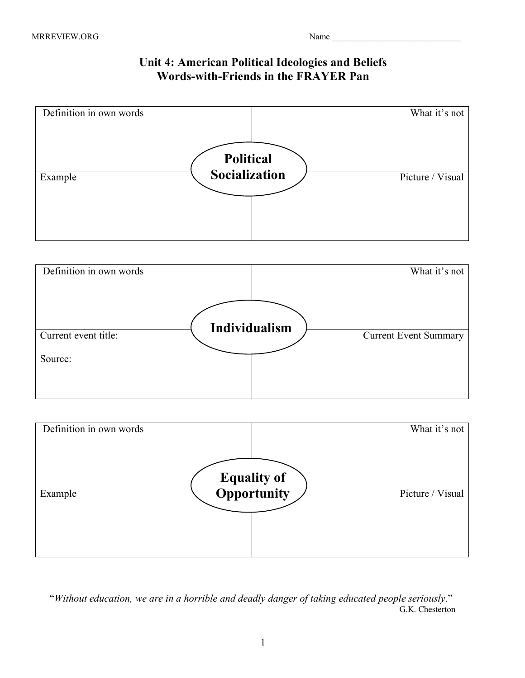## **Unit 4: American Political Ideologies and Beliefs Words-with-Friends in the FRAYER Pan**







 "*Without education, we are in a horrible and deadly danger of taking educated people seriously*." G.K. Chesterton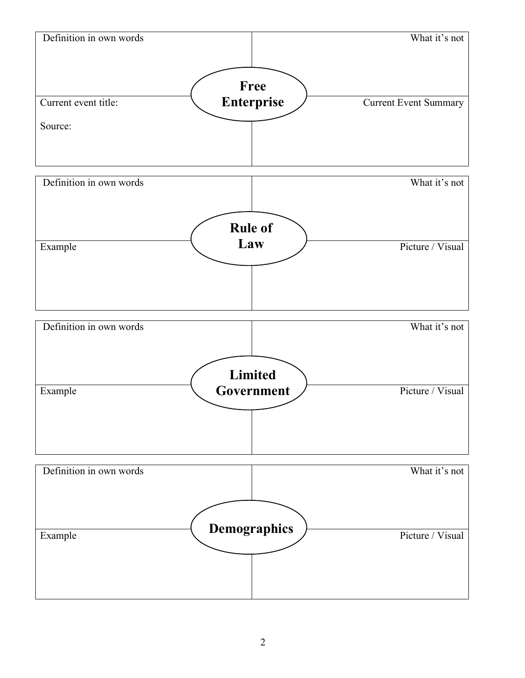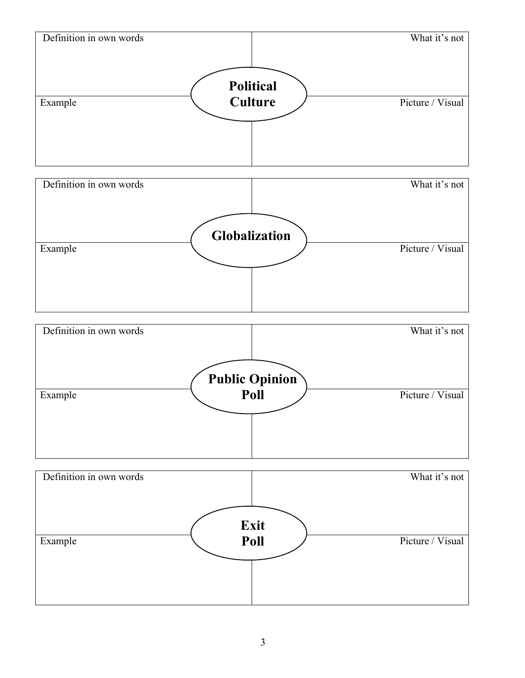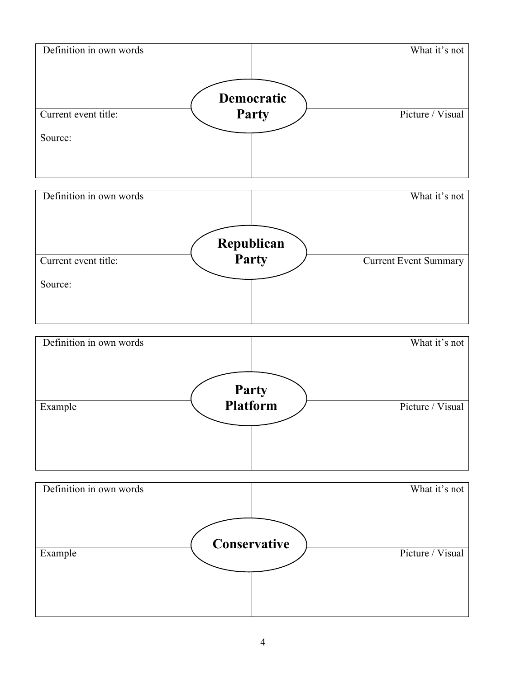

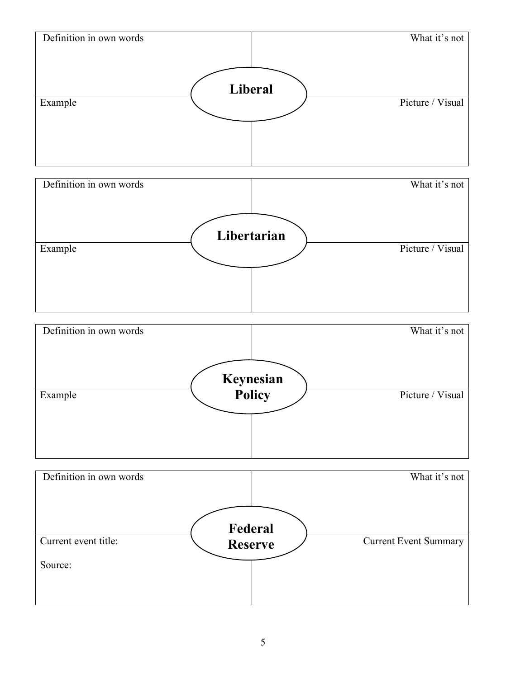